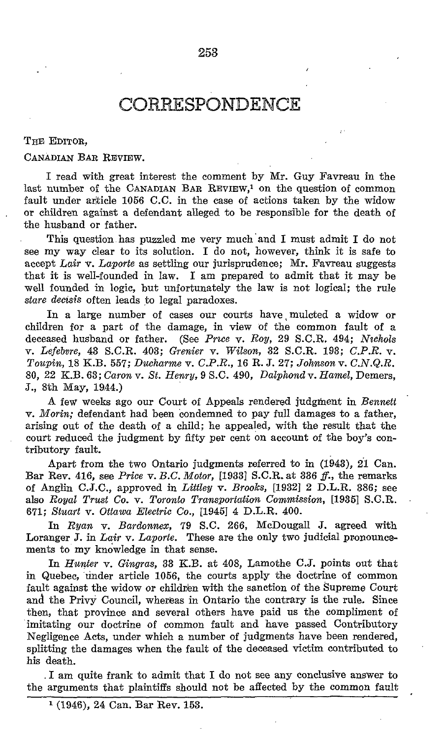## CORRESPONDENCE

THE EDITOR,

## CANADIAN BAR REVIEW.

<sup>I</sup> read with great interest the comment by Mr. Guy Favreau in the last number of the CANADIAN BAR REVIEW,<sup>1</sup> on the question of common fault under article 1056 C.C. in the case of actions taken by the widow or children against a defendant alleged to be responsible for the death of the husband or father.

This question has puzzled me very much and I must admit I do not see my way clear to its solution. <sup>I</sup> do not, however, think it is safe to accept Lair v. Laporte as settling our jurisprudence; Mr. Favreau suggests that it is well-founded in law. <sup>I</sup> am prepared to admit that it may be well founded in logic, but unfortunately the law is not logical; the rule stare decisis often leads to legal paradoxes.

In a large number of cases our courts have mulcted a widow or children for a part of the damage, in view of the common fault of a deceased husband or father. (See Price v. Roy, 29 S.C.R. 494; Nichols v. Lefebvre, 43 S.C.R. 403; Grenier v. Wilson, 32 S.C.R. 193; C.P.R. v. Toupin, 18 K.B. 557; Ducharme v. C.P.R., 16 R.J. 27; Johnson v. C.N.Q.R. 80, <sup>22</sup> K.B. 63; Caron v. St. Henry, <sup>9</sup> S.C. 490, Dalphond v. Hamel, Demers, J., Sth May, 1944.)

A few weeks ago our Court of Appeals rendered judgment in Bennett v. Morin; defendant had been condemned to pay full damages to a father, arising out of the death of a child; he appealed, with the result that the court reduced the judgment by fifty per cent on account of the boy's contributory fault.

Apart from the two Ontario judgments referred to in (1943), 21 Can. Bar Rev. 416, see Price v. B.C. Motor, [1933] S.C.R. at 336  $f$ ., the remarks of Anglin C.J.C., approved in Littley v. Brooks, [1932] 2 D.L.R. 386; see also Royal Trust Co. v. Toronto Transportation Commission, [1935] S.G.R. 671: Stuart v. Ottawa Electric Co., [1945] 4 D.L.R. 400.

In Ryan v. Bardonnex, 79 S.C. 266, McDougall J. agreed with Loranger J. in Lair v. Laporte. These are the only two judicial pronouncements to my knowledge in that sense.

In Hunter v. Gingras, 33 K.B. at 408, Lamothe C.J. points out that in Quebec, tinder article 1056, the courts apply the doctrine of common fault against the widow or children with the sanction of the Supreme Court and the Privy Council, whereas in Ontario the contrary is the rule . Since then, that province and several others have paid us the compliment of imitating our doctrine of common fault and have passed Contributory Negligence Acts, under which a number of judgments have been rendered, splitting the damages when the fault of the deceased victim contributed to his death.

. <sup>I</sup> am quite frank to admit that <sup>I</sup> do not see any conclusive answer to the arguments that plaintiffs should not be affected by the common fault

<sup>1</sup> (1946), 24 Can. Bar Rev. 153.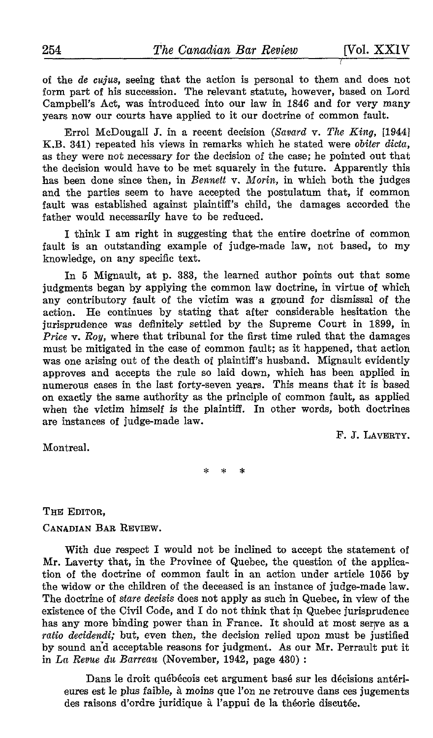of the de cujus, seeing that the action is personal to them and does not form part of his succession. The relevant statute, however, based on Lord Campbell's Act, was introduced into our law in 1846 and for very many years now our courts have applied to it our doctrine of common fault.

Errol McDougall J. in a recent decision (Savard v. The King,  $[1944]$ K.B. 341) repeated his views in remarks which he stated were obiter dicta, as they were not necessary for the decision of the case; he pointed out that the decision would have to be met squarely in the future. Apparently this has been done since then, in Bennett v. Morin, in which both the judges and the parties seem to have accepted the postulatum that, if common fault was established against plaintiff's child, the damages accorded the father would necessarily have to be reduced.

<sup>I</sup> think <sup>I</sup> am right in suggesting that the entire doctrine of common fault is an outstanding example of judge-made law, not based, to my knowledge, on any specific text.

In 5 Mignault, at p. 383, the learned author points out that some judgments began by applying the common law doctrine, in virtue of which any contributory fault of the victim was a ground for dismissal of the action. He continues by stating that after considerable hesitation the jurisprudence was definitely settled by the Supreme Court in 1899, in *Price*  $\mathbf{v}$ . Roy, where that tribunal for the first time ruled that the damages must be mitigated in the case of common fault; as it happened, that action was one arising out of the death of plaintiff's husband. Mignault evidently approves and accepts the rule so laid down, which has been applied in numerous cases in the last forty-seven years. This means that it is based on exactly the same authority as the principle of common fault, as applied when the victim himself is the plaintiff. In other words, both doctrines are instances o£ judge-made law.

F. J. LAVERTY.

Montreal.

 $\ast$ 

THE EDITOR,

CANADIAN BAR REVIEW.

With due respect I would not be inclined to accept the statement of Mr. Laverty that, in the Province of Quebec, the question of the application of the doctrine of common fault in an action under article 1056 by the widow or the children of the deceased is an instance of judge-made law. The doctrine of stare decisis does not apply as such in Quebec, in view of the existence of the Civil Code, and I do not think that in Quebec jurisprudence has any more binding power than in France. It should at most serve as a ratio decidendi; but, even then, the decision relied upon must be justified by sound and acceptable reasons for judgment. As our Mr. Perrault put it in La Revue du Barreau (November, 1942, page 430)

Dans le droit québécois cet argument basé sur les décisions antérieures est le plus faible, à moins que l'on ne retrouve dans ces jugements des raisons d'ordre juridique à l'appui de la théorie discutée.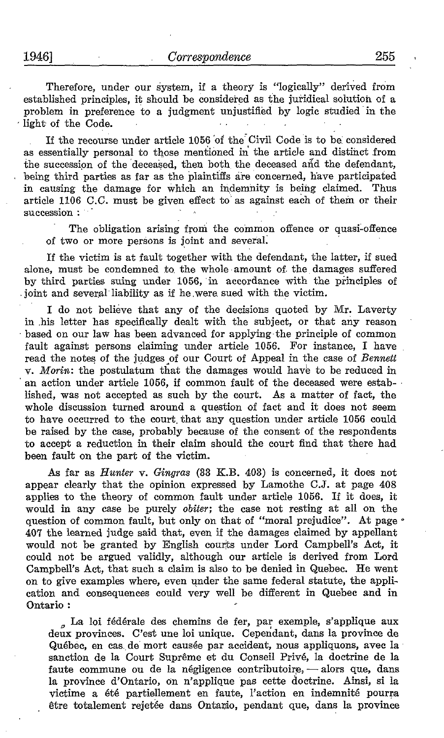Therefore, under our system, if a theory is "logically" derived from established principles, it should be considered as the juridical solution of a problem in preference to a judgment unjustified by logic studied in the light of the Code.

If the recourse under article 1056 of the Civil Code is to be considered as essentially personal to those mentioned in the article and distinct from the succession of the deceased, then both the deceased and the defendant, being third parties as far as the plaintiffs are concerned, have participated in causing the damage for which an indemnity is being claimed. Thus article 1106 C.C. must be given effect to` as against each of them or their succession:

The obligation arising from the common offence or quasi-offence of two or more persons is joint and several .

If the victim is at fault together with the defendant, the latter, if sued alone, must be condemned to the whole amount of the damages suffered by third parties suing under 1056, in accordance with the principles of joint and several' liability as if he were sued with the victim.

<sup>I</sup> do not believe that any of the decisions quoted by Mr. Laverty in his letter has specifically dealt with the subject, or that any reason based on our law has been advanced for applying the principle of common fault against persons claiming under article 1056. For instance, I have read the notes of the judges of our Court of Appeal in the case of Bennett v. Morin: the postulatum that the damages would have to be reduced in an action under article 1056, if common fault of the deceased were established, was not accepted as such by the court. As a matter of fact, the whole discussion turned around a question of fact and it does not seem to have occurred to the court. that any question under article 1056 could be raised by the case, probably because of the consent of the respondents to accept a reduction in their claim should the court find that there had been fault on the part of the victim.

As far as Hunter v. Gingras (33 K.B. 403) is concerned, it does not appear clearly that the opinion expressed by Lamothe C.J. at page 408 applies to the theory of common fault under article 1056. If it does, it would in any case be purely obiter; the case not resting at all on the question of common fault, but only on that of "moral prejudice". At page  $\cdot$ 407 the learned judge said that, even if the damages claimed by appellant would not be granted by English courts under Lord Campbell's Act, it could not be argued validly, although our article is derived from Lord Campbell's Act, that such <sup>a</sup> claim is also to be denied in Quebec. He went on to give examples where, even under the same federal statute, the application and consequences could very well be different in Quebec and in Ontario

 $\beta$  La loi fédérale des chemins de fer, par exemple, s'applique aux deux provinces . C'est une loi unique. Cependant, dans la province de Québec, en cas de mort causée par accident, nous appliquons, avec la sanction de la Court Suprême et du Conseil Privé, la doctrine de la faute commune ou de la négligence contributoire,  $-\text{alors}$  que, dans la province d'Ontario, on n'applique pas cette doctrine . Ainsi, si la victime a été partiellement en faute, l'action en indemnité pourra être totalement rejetée dans Ontario, pendant que, dans la province